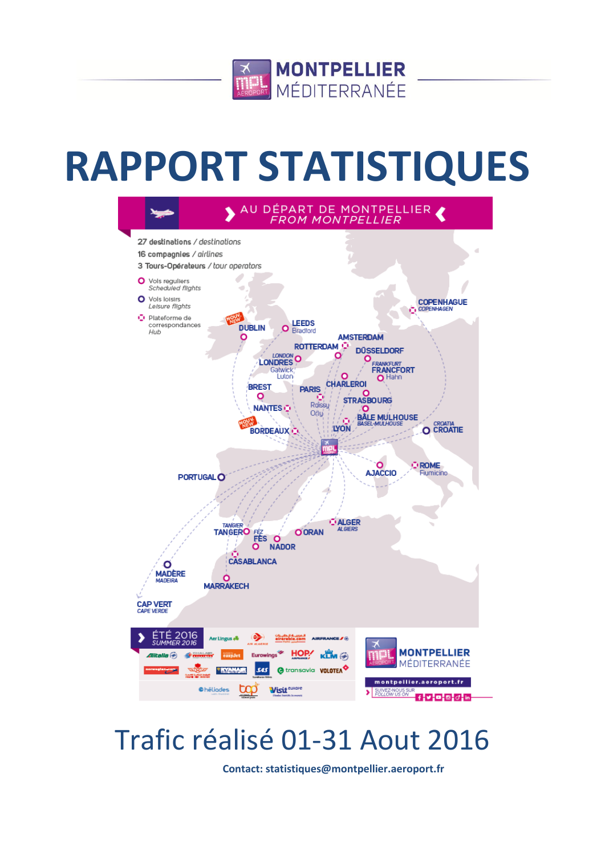

# **RAPPORT STATISTIQUES**



# Trafic réalisé 01-31 Aout 2016

**Contact: statistiques@montpellier.aeroport.fr**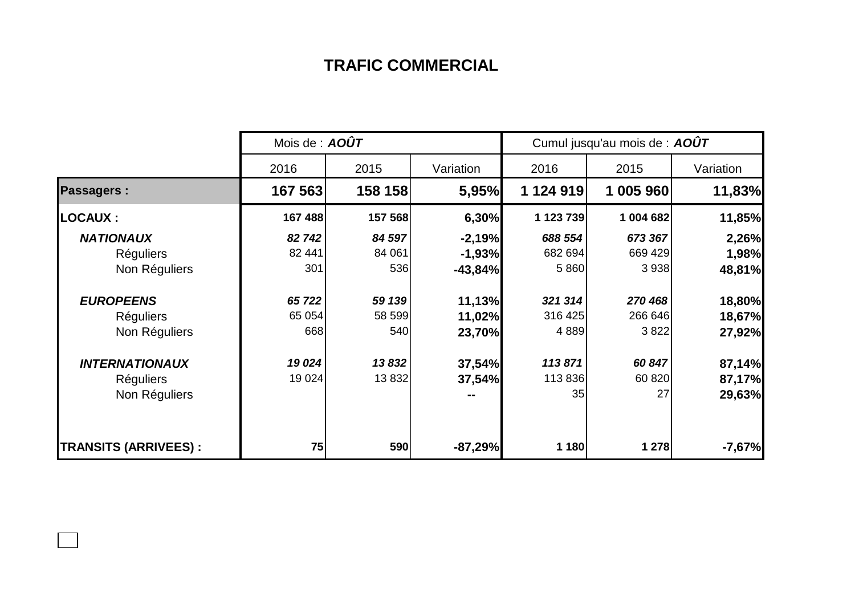## **TRAFIC COMMERCIAL**

|                              | Mois de : $AOÛT$ |         | Cumul jusqu'au mois de : AOÛT |           |           |           |  |
|------------------------------|------------------|---------|-------------------------------|-----------|-----------|-----------|--|
|                              | 2016             | 2015    | Variation                     | 2016      | 2015      | Variation |  |
| <b>Passagers:</b>            | 167 563          | 158 158 | 5,95%                         | 1 124 919 | 1 005 960 | 11,83%    |  |
| <b>LOCAUX :</b>              | 167 488          | 157 568 | 6,30%                         | 1 123 739 | 1 004 682 | 11,85%    |  |
| <b>NATIONAUX</b>             | 82 742           | 84 597  | $-2,19%$                      | 688 554   | 673 367   | 2,26%     |  |
| <b>Réguliers</b>             | 82 441           | 84 061  | $-1,93%$                      | 682 694   | 669 429   | 1,98%     |  |
| Non Réguliers                | 301              | 536     | $-43,84%$                     | 5 8 6 0   | 3 9 3 8   | 48,81%    |  |
| <b>EUROPEENS</b>             | 65 722           | 59 139  | 11,13%                        | 321 314   | 270 468   | 18,80%    |  |
| <b>Réguliers</b>             | 65 0 54          | 58 599  | 11,02%                        | 316 425   | 266 646   | 18,67%    |  |
| Non Réguliers                | 668              | 540     | 23,70%                        | 4889      | 3822      | 27,92%    |  |
| <b>INTERNATIONAUX</b>        | 19 0 24          | 13832   | 37,54%                        | 113871    | 60 847    | 87,14%    |  |
| <b>Réguliers</b>             | 19 0 24          | 13 832  | 37,54%                        | 113 836   | 60 820    | 87,17%    |  |
| Non Réguliers                |                  |         |                               | 35        | 27        | 29,63%    |  |
| <b>TRANSITS (ARRIVEES) :</b> | 75               | 590     | $-87,29%$                     | 1 180     | 1 278     | $-7,67%$  |  |

 $\Box$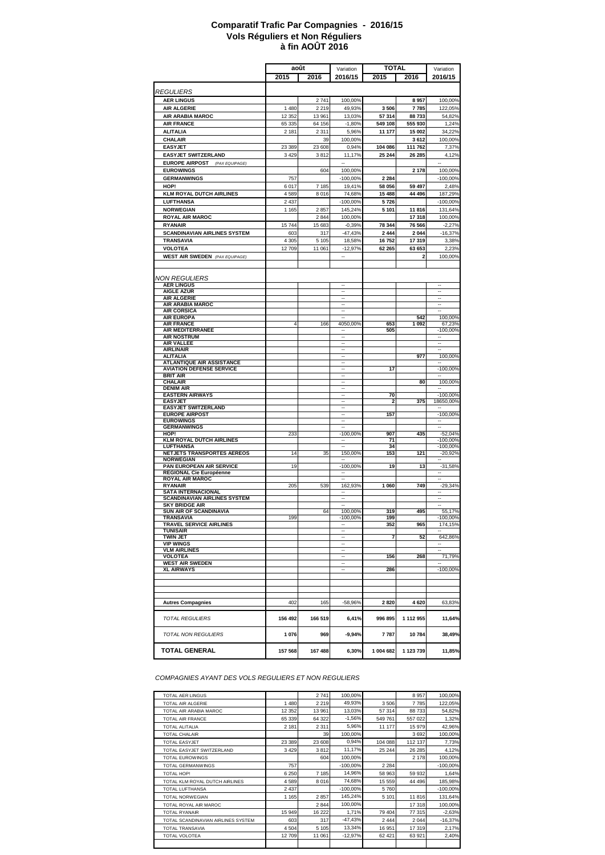#### **à fin AOÛT 2016 Comparatif Trafic Par Compagnies - 2016/15 Vols Réguliers et Non Réguliers**

|                                                                     | août               |                  | <b>TOTAL</b><br>Variation                  |                   |                  | Variation                                            |
|---------------------------------------------------------------------|--------------------|------------------|--------------------------------------------|-------------------|------------------|------------------------------------------------------|
|                                                                     | 2015               | 2016             | 2016/15                                    | 2015              | 2016             | 2016/15                                              |
|                                                                     |                    |                  |                                            |                   |                  |                                                      |
| <i><b>REGULIERS</b></i>                                             |                    |                  |                                            |                   |                  |                                                      |
| <b>AER LINGUS</b>                                                   |                    | 2741             | 100,00%                                    |                   | 8957             | 100,00%                                              |
| <b>AIR ALGERIE</b>                                                  | 1480               | 2 2 1 9          | 49,93%                                     | 3506              | 7785             | 122,05%                                              |
| AIR ARABIA MAROC<br><b>AIR FRANCE</b>                               | 12 3 5 2<br>65 335 | 13 961<br>64 156 | 13,03%<br>$-1,80%$                         | 57 314<br>549 108 | 88733<br>555 930 | 54,82%<br>1,24%                                      |
| <b>ALITALIA</b>                                                     | 2 1 8 1            | 2 3 1 1          | 5,96%                                      | 11 177            | 15 002           | 34.22%                                               |
| CHALAIR                                                             |                    | 39               | 100,00%                                    |                   | 3612             | 100,00%                                              |
| <b>EASYJET</b>                                                      | 23 3 8 9           | 23 608           | 0,94%                                      | 104 086           | 111 762          | 7,37%                                                |
| <b>EASYJET SWITZERLAND</b>                                          | 3429               | 3812             | 11,17%                                     | 25 244            | 26 285           | 4,12%                                                |
| <b>EUROPE AIRPOST</b><br>(PAX EQUIPAGE)                             |                    |                  | $\overline{\phantom{a}}$                   |                   |                  | $\overline{\phantom{a}}$                             |
| <b>EUROWINGS</b>                                                    |                    | 604              | 100,00%                                    |                   | 2 1 7 8          | 100,00%                                              |
| <b>GERMANWINGS</b>                                                  | 757                |                  | $-100,00%$                                 | 2 2 8 4           |                  | $-100,00%$                                           |
| HOP!                                                                | 6017               | 7 185            | 19,41%                                     | 58 056            | 59 497           | 2,48%                                                |
| <b>KLM ROYAL DUTCH AIRLINES</b>                                     | 4589               | 8 0 16           | 74,68%                                     | 15 488            | 44 496           | 187,29%                                              |
| <b>LUFTHANSA</b>                                                    | 2 4 3 7            |                  | $-100,00%$<br>145.24%                      | 5726              |                  | $-100,00%$                                           |
| <b>NORWEGIAN</b><br><b>ROYAL AIR MAROC</b>                          | 1 1 6 5            | 2857<br>2 8 4 4  | 100,00%                                    | 5 1 0 1           | 11816<br>17 318  | 131,64%<br>100,00%                                   |
| <b>RYANAIR</b>                                                      | 15744              | 15 683           | $-0,39%$                                   | 78 344            | 76 566           | $-2,27%$                                             |
| <b>SCANDINAVIAN AIRLINES SYSTEM</b>                                 | 603                | 317              | $-47,43%$                                  | 2 4 4 4           | 2044             | $-16,37%$                                            |
| TRANSAVIA                                                           | 4 3 0 5            | 5 1 0 5          | 18,58%                                     | 16752             | 17 319           | 3,38%                                                |
| <b>VOLOTEA</b>                                                      | 12709              | 11 061           | $-12,97%$                                  | 62 265            | 63 653           | 2,23%                                                |
| <b>WEST AIR SWEDEN</b> (PAX EQUIPAGE)                               |                    |                  |                                            |                   | $\overline{a}$   | 100,00%                                              |
|                                                                     |                    |                  |                                            |                   |                  |                                                      |
|                                                                     |                    |                  |                                            |                   |                  |                                                      |
| <b>NON REGULIERS</b><br><b>AER LINGUS</b>                           |                    |                  | $\overline{\phantom{a}}$                   |                   |                  | $\ddot{\phantom{a}}$                                 |
| <b>AIGLE AZUR</b>                                                   |                    |                  | Ξ.                                         |                   |                  | $\ddot{\phantom{a}}$                                 |
| <b>AIR ALGERIE</b>                                                  |                    |                  | $\overline{\phantom{a}}$                   |                   |                  | $\overline{\phantom{a}}$                             |
| AIR ARABIA MAROC                                                    |                    |                  | $\overline{\phantom{a}}$<br>$\overline{a}$ |                   |                  | $\ddot{\phantom{a}}$                                 |
| <b>AIR CORSICA</b><br><b>AIR EUROPA</b>                             |                    |                  |                                            |                   | 542              | 100,00%                                              |
| <b>AIR FRANCE</b>                                                   | 4                  | 166              | 4050,00%                                   | 653               | 1 0 9 2          | 67,23%                                               |
| AIR MEDITERRANEE                                                    |                    |                  | $\overline{\phantom{a}}$                   | 505               |                  | $-100,00%$                                           |
| <b>AIR NOSTRUM</b><br><b>AIR VALLEE</b>                             |                    |                  | $\overline{\phantom{a}}$<br>$\sim$         |                   |                  | $\overline{\phantom{a}}$<br>$\overline{\phantom{a}}$ |
| <b>AIRLINAIR</b>                                                    |                    |                  | $\ddot{\phantom{a}}$                       |                   |                  | $\ddot{\phantom{a}}$                                 |
| <b>ALITALIA</b>                                                     |                    |                  | $\ddot{\phantom{a}}$                       |                   | 977              | 100,00%                                              |
| <b>ATLANTIQUE AIR ASSISTANCE</b><br><b>AVIATION DEFENSE SERVICE</b> |                    |                  | $\overline{\phantom{a}}$<br>$\overline{a}$ | 17                |                  | $-100,00%$                                           |
| <b>BRIT AIR</b>                                                     |                    |                  |                                            |                   |                  |                                                      |
| <b>CHALAIR</b>                                                      |                    |                  | $\overline{\phantom{a}}$                   |                   | 80               | 100,00%                                              |
| <b>DENIM AIR</b><br><b>EASTERN AIRWAYS</b>                          |                    |                  | $\overline{\phantom{a}}$<br>$\sim$         | 70                |                  | $\overline{\phantom{a}}$<br>$-100,00%$               |
| <b>EASYJET</b>                                                      |                    |                  | --                                         | 2                 | 375              | 18650,00%                                            |
| <b>EASYJET SWITZERLAND</b>                                          |                    |                  | ٠.                                         |                   |                  |                                                      |
| <b>EUROPE AIRPOST</b>                                               |                    |                  | $\overline{\phantom{a}}$<br>$\overline{a}$ | 157               |                  | $-100,00%$                                           |
| <b>EUROWINGS</b><br><b>GERMANWINGS</b>                              |                    |                  |                                            |                   |                  |                                                      |
| HOP!                                                                | 233                |                  | $-100,00%$                                 | 907               | 435              | $-52,04%$                                            |
| <b>KLM ROYAL DUTCH AIRLINES</b>                                     |                    |                  | $\overline{\phantom{a}}$                   | 71                |                  | $-100,00%$                                           |
| LUFTHANSA<br>NETJETS TRANSPORTES AEREOS                             | 14                 | 35               | $\overline{\phantom{a}}$<br>150,00%        | 34<br>153         | 121              | $-100,00%$<br>$-20,92%$                              |
| <b>NORWEGIAN</b>                                                    |                    |                  |                                            |                   |                  |                                                      |
| PAN EUROPEAN AIR SERVICE                                            | 19                 |                  | $-100,00%$                                 | 19                | 13               | $-31,58%$                                            |
| <b>REGIONAL Cie Européenne</b><br><b>ROYAL AIR MAROC</b>            |                    |                  |                                            |                   |                  |                                                      |
| <b>RYANAIR</b>                                                      | 205                | 539              | 162,93%                                    | 1 060             | 749              | $-29,34%$                                            |
| <b>SATA INTERNACIONAL</b>                                           |                    |                  | $\overline{\phantom{a}}$                   |                   |                  | $\overline{\phantom{a}}$                             |
| <b>SCANDINAVIAN AIRLINES SYSTEM</b><br><b>SKY BRIDGE AIR</b>        |                    |                  | $\ddotsc$                                  |                   |                  |                                                      |
| SUN AIR OF SCANDINAVIA                                              |                    | 64               | 100,00%                                    | 319               | 495              | 55,17%                                               |
| <b>TRANSAVIA</b>                                                    |                    |                  | $.100,00\%$                                | 199               |                  | $-100,00%$                                           |
| <b>TRAVEL SERVICE AIRLINES</b><br><b>TUNISAIR</b>                   |                    |                  | $\overline{\phantom{a}}$                   | 352               | 965              | 174,15%                                              |
| <b>TWIN JET</b>                                                     |                    |                  |                                            | 7                 | 52               | 642,86%                                              |
| <b>VIP WINGS</b>                                                    |                    |                  | $\overline{\phantom{a}}$                   |                   |                  | $\overline{\phantom{a}}$                             |
| <b>VLM AIRLINES</b>                                                 |                    |                  | $\overline{\phantom{a}}$<br>$\sim$         |                   |                  |                                                      |
| <b>VOLOTEA</b><br><b>WEST AIR SWEDEN</b>                            |                    |                  | $\ddot{\phantom{a}}$                       | 156               | 268              | 71,79%                                               |
| <b>XL AIRWAYS</b>                                                   |                    |                  | $\ddot{\phantom{a}}$                       | 286               |                  | $-100,00%$                                           |
|                                                                     |                    |                  |                                            |                   |                  |                                                      |
|                                                                     |                    |                  |                                            |                   |                  |                                                      |
|                                                                     |                    |                  |                                            |                   |                  |                                                      |
| <b>Autres Compagnies</b>                                            | 402                | 165              | $-58,96%$                                  | 2820              | 4 6 20           | 63,83%                                               |
|                                                                     |                    |                  |                                            |                   |                  |                                                      |
| <b>TOTAL REGULIERS</b>                                              | 156 492            | 166 519          | 6,41%                                      | 996 895           | 1 112 955        | 11,64%                                               |
|                                                                     |                    |                  |                                            |                   |                  |                                                      |
| <b>TOTAL NON REGULIERS</b>                                          | 1076               | 969              | $-9,94%$                                   | 7787              | 10784            | 38,49%                                               |
| TOTAL GENERAL                                                       | 157 568            | 167 488          | 6,30%                                      | 1 004 682         | 1 123 739        | 11,85%                                               |

*COMPAGNIES AYANT DES VOLS REGULIERS ET NON REGULIERS*

| TOTAL AFR LINGUS                   |          | 2741    | 100,00%     |         | 8957    | 100,00%    |
|------------------------------------|----------|---------|-------------|---------|---------|------------|
| TOTAL AIR ALGERIE                  | 1480     | 2 2 1 9 | 49.93%      | 3506    | 7785    | 122,05%    |
| TOTAL AIR ARABIA MAROC             | 12 3 5 2 | 13 961  | 13,03%      | 57 314  | 88 733  | 54,82%     |
| <b>TOTAL AIR FRANCE</b>            | 65 339   | 64 322  | $-1,56%$    | 549 761 | 557 022 | 1,32%      |
| TOTAL ALITALIA                     | 2 1 8 1  | 2 3 1 1 | 5,96%       | 11 177  | 15 979  | 42,96%     |
| <b>TOTAL CHALAIR</b>               |          | 39      | 100.00%     |         | 3692    | 100,00%    |
| TOTAL FASY.JFT                     | 23 389   | 23 608  | 0.94%       | 104 088 | 112 137 | 7,73%      |
| TOTAL EASYJET SWITZERLAND          | 3429     | 3812    | 11,17%      | 25 244  | 26 28 5 | 4,12%      |
| <b>TOTAL FUROWINGS</b>             |          | 604     | 100.00%     |         | 2 178   | 100.00%    |
| <b>TOTAL GERMANWINGS</b>           | 757      |         | $-100.00\%$ | 2 2 8 4 |         | $-100,00%$ |
| TOTAL HOP!                         | 6 2 5 0  | 7 1 8 5 | 14.96%      | 58 963  | 59 932  | 1,64%      |
| TOTAL KLM ROYAL DUTCH AIRLINES     | 4589     | 8 0 1 6 | 74,68%      | 15 559  | 44 49 6 | 185,98%    |
| TOTAL LUFTHANSA                    | 2 4 3 7  |         | $-100.00\%$ | 5760    |         | $-100,00%$ |
| <b>TOTAL NORWEGIAN</b>             | 1 1 6 5  | 2857    | 145,24%     | 5 1 0 1 | 11 816  | 131.64%    |
| TOTAL ROYAL AIR MAROC              |          | 2844    | 100,00%     |         | 17 318  | 100,00%    |
| <b>TOTAL RYANAIR</b>               | 15 949   | 16 222  | 1,71%       | 79 404  | 77 315  | $-2,63%$   |
| TOTAL SCANDINAVIAN AIRLINES SYSTEM | 603      | 317     | $-47,43%$   | 2 4 4 4 | 2 0 4 4 | $-16,37%$  |
| <b>TOTAI TRANSAVIA</b>             | 4504     | 5 1 0 5 | 13,34%      | 16 951  | 17 319  | 2,17%      |
| TOTAL VOLOTEA                      | 12709    | 11 061  | $-12,97%$   | 62 4 21 | 63 921  | 2,40%      |
|                                    |          |         |             |         |         |            |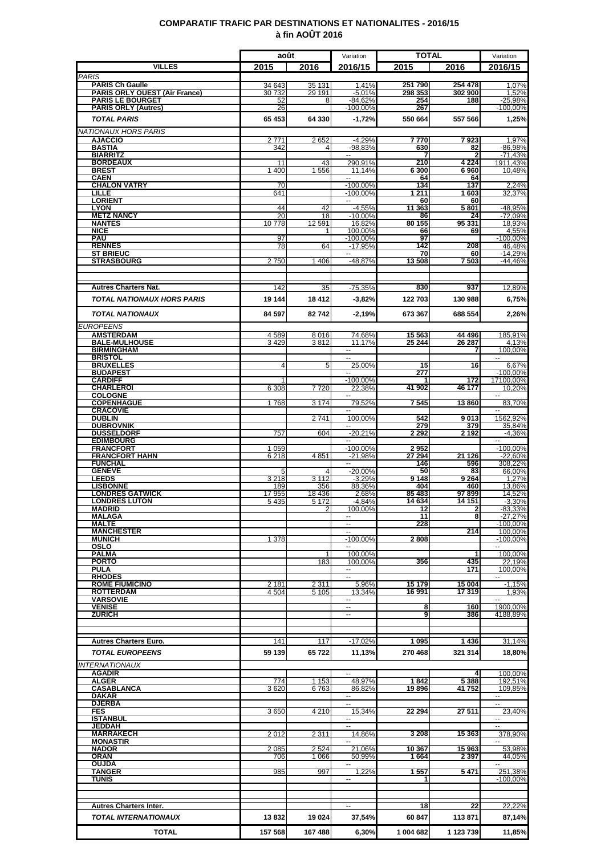### **COMPARATIF TRAFIC PAR DESTINATIONS ET NATIONALITES - 2016/15 à fin AOÛT 2016**

|                                                       | août              |                    | Variation                          | <b>TOTAL</b>     |                  | Variation                           |
|-------------------------------------------------------|-------------------|--------------------|------------------------------------|------------------|------------------|-------------------------------------|
| <b>VILLES</b>                                         | 2015              | 2016               | 2016/15                            | 2015             | 2016             | 2016/15                             |
| <b>PARIS</b><br><b>PARIS Ch Gaulle</b>                | 34 643            | 35 131             | 1,41%                              | 251790           | 254 478          | 1,07%                               |
| <b>PARIS ORLY OUEST (Air France)</b>                  | 30 732            | 29 191             | $-5.01%$                           | 298 353          | 302 900          | 1,52%                               |
| <b>PARIS LE BOURGET</b><br><b>PARIS ORLY (Autres)</b> | 52<br>26          | 8                  | $-84,62%$<br>$-100,00%$            | 254<br>267       | 188              | $-25,98%$<br>-100,00%               |
| <b>TOTAL PARIS</b>                                    | 65 453            | 64 330             | $-1.72%$                           | 550 664          | 557 566          | 1,25%                               |
| <b>NATIONAUX HORS PARIS</b>                           |                   |                    |                                    |                  |                  |                                     |
| <b>AJACCIO</b>                                        | 2771              | 2652               | $-4.29%$                           | 7 770            | 7923             | 1,97%                               |
| <b>BASTIA</b><br><b>BIARRITZ</b>                      | 342               | 4                  | -98,83%<br>⊷                       | 630              | 82               | $-86,98%$<br>$-71.43%$              |
| <b>BORDEAUX</b>                                       | 11                | 43                 | 290.91%                            | 210              | 4 2 2 4          | 1911,43%                            |
| <b>BREST</b><br><b>CAEN</b>                           | 400               | 1556               | 11,14%                             | 6 300<br>64      | 6960<br>64       | 10,48%                              |
| <b>CHALON VATRY</b>                                   | 70                |                    | $-100,00%$                         | 134              | 137              | 2,24%                               |
| LILLE<br><b>LORIENT</b>                               | 641               |                    | $-100.00\%$<br>$\sim$              | 1 2 1 1<br>60    | 1 603<br>60      | 32.37%                              |
| <b>LYON</b>                                           | 44                | 42                 | $-4,55%$                           | 11 363           | 5801             | -48,95%                             |
| <b>METZ NANCY</b><br><b>NANTES</b>                    | 20<br>10778       | 18<br>12 5 91      | $-10,00%$<br>16,82%                | 86<br>80 155     | 24<br>95 331     | $-72,09%$<br>18,93%                 |
| <b>NICE</b>                                           |                   |                    | 100,00%                            | 66               | 69               | 4,55%                               |
| <b>PAU</b><br><b>RENNES</b>                           | 97<br>78          | 64                 | $-100.00%$<br>$-17,95%$            | 97<br>142        | 208              | -100,00%<br>46,48%                  |
| <b>ST BRIEUC</b>                                      |                   |                    |                                    | 70               | 60               | $-14,29%$                           |
| <b>STRASBOURG</b>                                     | 2750              | 1 4 0 6            | -48,87%                            | 13508            | 7503             | $-44.46%$                           |
|                                                       |                   |                    |                                    |                  |                  |                                     |
| <b>Autres Charters Nat.</b>                           | 142               | 35                 | $-75,35%$                          | 830              | 937              | 12.89%                              |
| <b>TOTAL NATIONAUX HORS PARIS</b>                     | 19 144            | 18 4 12            | $-3,82%$                           | 122 703          | 130 988          | 6,75%                               |
| <b>TOTAL NATIONAUX</b>                                | 84 597            | 82742              | $-2,19%$                           | 673 367          | 688 554          | 2,26%                               |
| <b>EUROPEENS</b>                                      |                   |                    |                                    |                  |                  |                                     |
| <b>AMSTERDAM</b>                                      | 4589              | 8016               | 74.68%                             | 15 563           | 44 496           | 185,91%                             |
| <b>BALE-MULHOUSE</b><br><b>BIRMINGHAM</b>             | 3429              | 3812               | 11,17%<br>н.                       | 25 244           | 26 287<br>7      | 4,13%<br>100,00%                    |
| <b>BRISTOL</b>                                        |                   |                    | $\sim$                             |                  |                  |                                     |
| <b>BRUXELLES</b><br><b>BUDAPEST</b>                   | 4                 | 5                  | 25,00%                             | 15<br>277        | 16               | 6,67%<br>$-100,00%$                 |
| <b>CARDIFF</b>                                        |                   |                    | $-100,00%$                         |                  | 172              | 17100,00%                           |
| <b>CHARLEROI</b><br><b>COLOGNE</b>                    | 6 3 0 8           | 7720               | 22.38%                             | 41 902           | 46 177           | 10.20%<br>$\overline{\phantom{a}}$  |
| <b>COPENHAGUE</b>                                     | 1768              | 3 1 7 4            | 79,52%                             | 7 545            | 13860            | 83,70%                              |
| <b>CRACOVIE</b><br><b>DUBLIN</b>                      |                   | 2741               | --<br>100,00%                      | 542              | 9013             | ۰.<br>1562,92%                      |
| <b>DUBROVNIK</b><br><b>DUSSELDORF</b>                 | 757               | 604                | --                                 | 279<br>2 292     | 379<br>2 1 9 2   | 35,84%                              |
| <b>EDIMBOURG</b>                                      |                   |                    | $-20,21%$                          |                  |                  | $-4,36%$                            |
| <b>FRANCFORT</b>                                      | 1 0 5 9<br>6218   | 4 8 5 1            | $-100,00%$<br>$-21,98%$            | 2952<br>27 294   | 21 1 26          | $-100,00%$<br>$-22,60%$             |
| <b>FRANCFORT HAHN</b><br><b>FUNCHAL</b>               |                   |                    |                                    | 146              | 596              | 308,22%                             |
| <b>GENEVE</b><br><b>LEEDS</b>                         | 5<br>3 2 1 8      | 4<br>3 1 1 2       | $-20,00%$<br>$-3,29%$              | 50<br>9 1 4 8    | 83<br>9 2 64     | 66,00%<br>1.27%                     |
| <b>LISBONNE</b>                                       | 189               | 356                | 88,36%                             | 404              | 460              | 13,86%                              |
| <b>LONDRES GATWICK</b><br><b>LONDRES LUTON</b>        | 17 955<br>5 4 3 5 | 18 4 36<br>5 1 7 2 | 2,68%<br>$-4,84%$                  | 85 483<br>14 634 | 97899<br>14 15 1 | 14,52%<br>$-3,30%$                  |
| <b>MADRID</b>                                         |                   | $\overline{2}$     | 100,00%                            | 12               | $\mathbf{2}$     | $-83,33%$                           |
| <b>MALAGA</b><br><b>MALTE</b>                         |                   |                    | н.                                 | 11<br>228        | 8                | $-27,27%$<br>$-100.00\%$            |
| <b>MANCHESTER</b>                                     |                   |                    |                                    |                  | 214              | 100,00%                             |
| <b>MUNICH</b><br>OSLO                                 | 1 378             |                    | $-100,00%$                         | 2 808            |                  | $-100,00%$                          |
| <b>PALMA</b>                                          |                   |                    | 100,00%                            |                  |                  | 100,00%                             |
| <b>PORTO</b><br><b>PULA</b>                           |                   | 183                | 100,00%<br>н.                      | 356              | 435<br>171       | 22.19%<br>100,00%                   |
| <b>RHODES</b>                                         |                   |                    |                                    |                  |                  |                                     |
| <b>ROME FIUMICINO</b><br><b>ROTTERDAM</b>             | 2 181<br>4 5 0 4  | 2 3 1 1<br>5 1 0 5 | 5,96%<br>13.34%                    | 15 179<br>16 991 | 15 004<br>17 319 | $-1,15%$<br>1,93%                   |
| <b>VARSOVIE</b>                                       |                   |                    | ⊷                                  |                  |                  |                                     |
| <b>VENISE</b><br><b>ZURICH</b>                        |                   |                    | $\overline{\phantom{a}}$<br>--     | 8<br>9           | 160<br>386       | 1900,00%<br>4188,89%                |
|                                                       |                   |                    |                                    |                  |                  |                                     |
| <b>Autres Charters Euro.</b>                          |                   |                    |                                    | 1095             | 1436             |                                     |
| <b>TOTAL EUROPEENS</b>                                | 141<br>59 139     | 117<br>65722       | $-17,02%$                          | 270 468          | 321 314          | 31,14%                              |
|                                                       |                   |                    | 11,13%                             |                  |                  | 18,80%                              |
| <b>INTERNATIONAUX</b><br><b>AGADIR</b>                |                   |                    | $\sim$                             |                  | 4                | 100,00%                             |
| <b>ALGER</b>                                          | 774               | 1 1 5 3            | 48,97%                             | 1842             | 5 3 8 8          | 192,51%                             |
| <b>CASABLANCA</b><br><b>DAKAR</b>                     | 3620              | 6763               | 86,82%<br>$\overline{\phantom{a}}$ | 19896            | 41752            | 109,85%<br>$\overline{\phantom{a}}$ |
| <b>DJERBA</b>                                         |                   |                    | н.                                 |                  |                  | $\sim$                              |
| <b>FES</b><br><b>ISTANBUL</b>                         | 3650              | 4 2 1 0            | 15,34%<br>⊶.                       | 22 294           | 27 511           | 23,40%<br>۰.                        |
| <b>JEDDAH</b>                                         |                   |                    |                                    |                  |                  |                                     |
| <b>MARRAKECH</b><br><b>MONASTIR</b>                   | 2012              | 2 3 1 1            | 14,86%                             | 3 2 0 8          | 15 363           | 378,90%                             |
| <b>NADOR</b>                                          | 2085              | 2524               | 21,06%                             | 10 367           | 15963            | 53,98%                              |
| <b>ORAN</b><br>OUJDA                                  | 706               | 1 0 6 6            | 50,99%<br>−−                       | 1664             | 2 3 9 7          | 44,05%<br>--                        |
| <b>TANGER</b><br><b>TUNIS</b>                         | 985               | 997                | 1,22%<br>--                        | 1557<br>1        | 5471             | 251,38%<br>-100,00%                 |
|                                                       |                   |                    |                                    |                  |                  |                                     |
|                                                       |                   |                    |                                    |                  |                  |                                     |
| <b>Autres Charters Inter.</b>                         |                   |                    | $\overline{\phantom{a}}$           | 18               | 22               | 22,22%                              |
| TOTAL INTERNATIONAUX                                  | 13832             | 19 0 24            | 37,54%                             | 60 847           | 113 871          | 87,14%                              |
| <b>TOTAL</b>                                          | 157 568           | 167 488            | 6,30%                              | 1 004 682        | 1 123 739        | 11,85%                              |